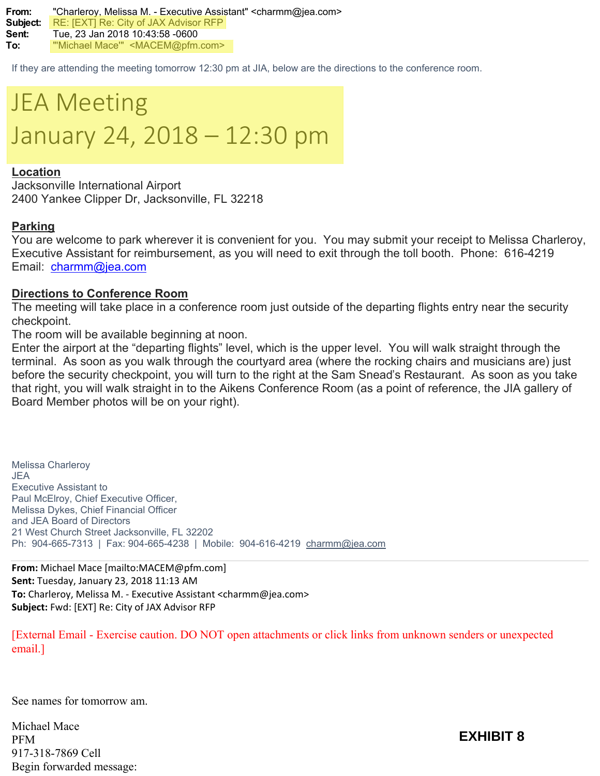**From:** "Charleroy, Melissa M. - Executive Assistant" <charmm@jea.com> **Subject:** RE: [EXT] Re: City of JAX Advisor RFP **Sent:** Tue, 23 Jan 2018 10:43:58 -0600 **To:** "'Michael Mace'" <MACEM@pfm.com>

If they are attending the meeting tomorrow 12:30 pm at JIA, below are the directions to the conference room.



## **Location**

Jacksonville International Airport 2400 Yankee Clipper Dr, Jacksonville, FL 32218

## **Parking**

You are welcome to park wherever it is convenient for you. You may submit your receipt to Melissa Charleroy, Executive Assistant for reimbursement, as you will need to exit through the toll booth. Phone: 616-4219 Email: [charmm@jea.com](mailto:charmm@jea.com)

## **Directions to Conference Room**

The meeting will take place in a conference room just outside of the departing flights entry near the security checkpoint.

The room will be available beginning at noon.

Enter the airport at the "departing flights" level, which is the upper level. You will walk straight through the terminal. As soon as you walk through the courtyard area (where the rocking chairs and musicians are) just before the security checkpoint, you will turn to the right at the Sam Snead's Restaurant. As soon as you take that right, you will walk straight in to the Aikens Conference Room (as a point of reference, the JIA gallery of Board Member photos will be on your right).

Melissa Charleroy JEA Executive Assistant to Paul McElroy, Chief Executive Officer, Melissa Dykes, Chief Financial Officer and JEA Board of Directors 21 West Church Street Jacksonville, FL 32202 Ph: 904-665-7313 | Fax: 904-665-4238 | Mobile: 904-616-4219 [charmm@jea.com](mailto:ryanje@jea.com)

**From:** Michael Mace [mailto:MACEM@pfm.com] **Sent:** Tuesday, January 23, 2018 11:13 AM **To:** Charleroy, Melissa M. - Executive Assistant <charmm@jea.com> **Subject:** Fwd: [EXT] Re: City of JAX Advisor RFP

[External Email - Exercise caution. DO NOT open attachments or click links from unknown senders or unexpected email.]

See names for tomorrow am.

Michael Mace PFM 917-318-7869 Cell Begin forwarded message:

**EXHIBIT 8**